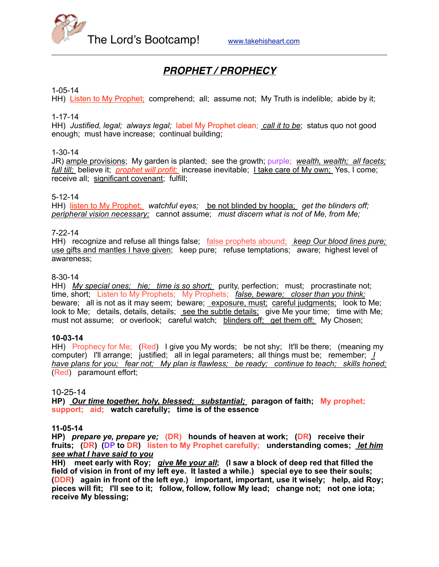

# *PROPHET / PROPHECY*

## 1-05-14

HH) Listen to My Prophet; comprehend; all; assume not; My Truth is indelible; abide by it;

## 1-17-14

HH) *Justified, legal; always legal;* label My Prophet clean; *call it to be*; status quo not good enough; must have increase; continual building;

## 1-30-14

JR) ample provisions; My garden is planted; see the growth; purple; *wealth, wealth; all facets; full till;* believe it; *prophet will profit;* increase inevitable; I take care of My own; Yes, I come; receive all; significant covenant; fulfill;

## 5-12-14

HH) listen to My Prophet; *watchful eyes;* be not blinded by hoopla; *get the blinders off; peripheral vision necessary;* cannot assume; *must discern what is not of Me, from Me;*

## 7-22-14

HH) recognize and refuse all things false; false prophets abound; *keep Our blood lines pure;*  use gifts and mantles I have given; keep pure; refuse temptations; aware; highest level of awareness;

## 8-30-14

HH) *My special ones; hie; time is so short;* purity, perfection; must; procrastinate not; time, short; Listen to My Prophets; My Prophets; *false, beware; closer than you think;* beware; all is not as it may seem; beware; exposure, must; careful judgments; look to Me; look to Me; details, details, details; see the subtle details; give Me your time; time with Me; must not assume; or overlook; careful watch; blinders off; get them off; My Chosen;

# **10-03-14**

HH) Prophecy for Me; (Red) I give you My words; be not shy; It'll be there; (meaning my computer) I'll arrange; justified; all in legal parameters; all things must be; remember; *I have plans for you; fear not; My plan is flawless; be ready; continue to teach; skills honed;*  (Red) paramount effort;

#### 10-25-14

**HP)** *Our time together, holy, blessed; substantial;* **paragon of faith; My prophet; support; aid; watch carefully; time is of the essence**

#### **11-05-14**

**HP)** *prepare ye, prepare ye;* **(DR) hounds of heaven at work; (DR) receive their fruits; (DR) (DP to DR) listen to My Prophet carefully; understanding comes;** *let him see what I have said to you*

**HH) meet early with Roy;** *give Me your all***; (I saw a block of deep red that filled the field of vision in front of my left eye. It lasted a while.) special eye to see their souls; (DDR) again in front of the left eye.) important, important, use it wisely; help, aid Roy; pieces will fit; I'll see to it; follow, follow, follow My lead; change not; not one iota; receive My blessing;**